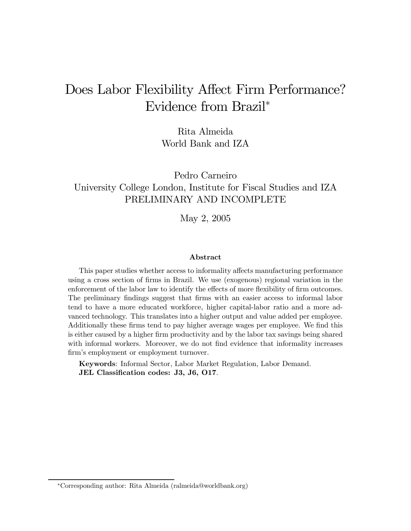# Does Labor Flexibility Affect Firm Performance? Evidence from Brazil<sup>∗</sup>

Rita Almeida World Bank and IZA

Pedro Carneiro University College London, Institute for Fiscal Studies and IZA PRELIMINARY AND INCOMPLETE

May 2, 2005

#### Abstract

This paper studies whether access to informality affects manufacturing performance using a cross section of firms in Brazil. We use (exogenous) regional variation in the enforcement of the labor law to identify the effects of more flexibility of firm outcomes. The preliminary findings suggest that firms with an easier access to informal labor tend to have a more educated workforce, higher capital-labor ratio and a more advanced technology. This translates into a higher output and value added per employee. Additionally these firms tend to pay higher average wages per employee. We find this is either caused by a higher firm productivity and by the labor tax savings being shared with informal workers. Moreover, we do not find evidence that informality increases firm's employment or employment turnover.

Keywords: Informal Sector, Labor Market Regulation, Labor Demand. JEL Classification codes: J3, J6, O17.

<sup>∗</sup>Corresponding author: Rita Almeida (ralmeida@worldbank.org)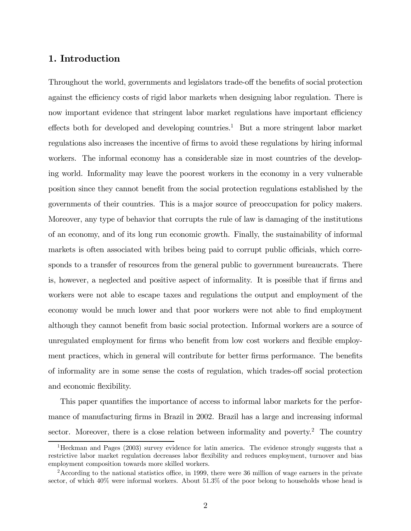## 1. Introduction

Throughout the world, governments and legislators trade-off the benefits of social protection against the efficiency costs of rigid labor markets when designing labor regulation. There is now important evidence that stringent labor market regulations have important efficiency effects both for developed and developing countries.<sup>1</sup> But a more stringent labor market regulations also increases the incentive of firms to avoid these regulations by hiring informal workers. The informal economy has a considerable size in most countries of the developing world. Informality may leave the poorest workers in the economy in a very vulnerable position since they cannot benefit from the social protection regulations established by the governments of their countries. This is a major source of preoccupation for policy makers. Moreover, any type of behavior that corrupts the rule of law is damaging of the institutions of an economy, and of its long run economic growth. Finally, the sustainability of informal markets is often associated with bribes being paid to corrupt public officials, which corresponds to a transfer of resources from the general public to government bureaucrats. There is, however, a neglected and positive aspect of informality. It is possible that if firms and workers were not able to escape taxes and regulations the output and employment of the economy would be much lower and that poor workers were not able to find employment although they cannot benefit from basic social protection. Informal workers are a source of unregulated employment for firms who benefit from low cost workers and flexible employment practices, which in general will contribute for better firms performance. The benefits of informality are in some sense the costs of regulation, which trades-off social protection and economic flexibility.

This paper quantifies the importance of access to informal labor markets for the performance of manufacturing firms in Brazil in 2002. Brazil has a large and increasing informal sector. Moreover, there is a close relation between informality and poverty.<sup>2</sup> The country

<sup>1</sup>Heckman and Pages (2003) survey evidence for latin america. The evidence strongly suggests that a restrictive labor market regulation decreases labor flexibility and reduces employment, turnover and bias employment composition towards more skilled workers.

<sup>&</sup>lt;sup>2</sup>According to the national statistics office, in 1999, there were 36 million of wage earners in the private sector, of which 40% were informal workers. About 51.3% of the poor belong to households whose head is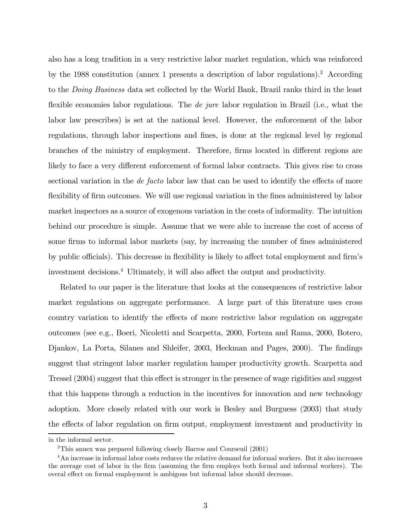also has a long tradition in a very restrictive labor market regulation, which was reinforced by the 1988 constitution (annex 1 presents a description of labor regulations).3 According to the Doing Business data set collected by the World Bank, Brazil ranks third in the least flexible economies labor regulations. The *de jure* labor regulation in Brazil (i.e., what the labor law prescribes) is set at the national level. However, the enforcement of the labor regulations, through labor inspections and fines, is done at the regional level by regional branches of the ministry of employment. Therefore, firms located in different regions are likely to face a very different enforcement of formal labor contracts. This gives rise to cross sectional variation in the *de facto* labor law that can be used to identify the effects of more flexibility of firm outcomes. We will use regional variation in the fines administered by labor market inspectors as a source of exogenous variation in the costs of informality. The intuition behind our procedure is simple. Assume that we were able to increase the cost of access of some firms to informal labor markets (say, by increasing the number of fines administered by public officials). This decrease in flexibility is likely to affect total employment and firm's investment decisions.4 Ultimately, it will also affect the output and productivity.

Related to our paper is the literature that looks at the consequences of restrictive labor market regulations on aggregate performance. A large part of this literature uses cross country variation to identify the effects of more restrictive labor regulation on aggregate outcomes (see e.g., Boeri, Nicoletti and Scarpetta, 2000, Forteza and Rama, 2000, Botero, Djankov, La Porta, Silanes and Shleifer, 2003, Heckman and Pages, 2000). The findings suggest that stringent labor marker regulation hamper productivity growth. Scarpetta and Tressel (2004) suggest that this effect is stronger in the presence of wage rigidities and suggest that this happens through a reduction in the incentives for innovation and new technology adoption. More closely related with our work is Besley and Burguess (2003) that study the effects of labor regulation on firm output, employment investment and productivity in

in the informal sector.

<sup>3</sup>This annex was prepared following closely Barros and Courseuil (2001)

<sup>4</sup>An increase in informal labor costs reduces the relative demand for informal workers. But it also increases the average cost of labor in the firm (assuming the firm employs both formal and informal workers). The overal effect on formal employment is ambigous but informal labor should decrease.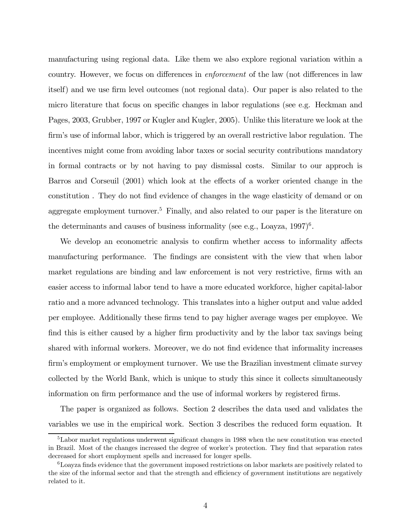manufacturing using regional data. Like them we also explore regional variation within a country. However, we focus on differences in enforcement of the law (not differences in law itself) and we use firm level outcomes (not regional data). Our paper is also related to the micro literature that focus on specific changes in labor regulations (see e.g. Heckman and Pages, 2003, Grubber, 1997 or Kugler and Kugler, 2005). Unlike this literature we look at the firm's use of informal labor, which is triggered by an overall restrictive labor regulation. The incentives might come from avoiding labor taxes or social security contributions mandatory in formal contracts or by not having to pay dismissal costs. Similar to our approch is Barros and Corseuil (2001) which look at the effects of a worker oriented change in the constitution . They do not find evidence of changes in the wage elasticity of demand or on aggregate employment turnover.<sup>5</sup> Finally, and also related to our paper is the literature on the determinants and causes of business informality (see e.g., Loayza,  $1997)^6$ .

We develop an econometric analysis to confirm whether access to informality affects manufacturing performance. The findings are consistent with the view that when labor market regulations are binding and law enforcement is not very restrictive, firms with an easier access to informal labor tend to have a more educated workforce, higher capital-labor ratio and a more advanced technology. This translates into a higher output and value added per employee. Additionally these firms tend to pay higher average wages per employee. We find this is either caused by a higher firm productivity and by the labor tax savings being shared with informal workers. Moreover, we do not find evidence that informality increases firm's employment or employment turnover. We use the Brazilian investment climate survey collected by the World Bank, which is unique to study this since it collects simultaneously information on firm performance and the use of informal workers by registered firms.

The paper is organized as follows. Section 2 describes the data used and validates the variables we use in the empirical work. Section 3 describes the reduced form equation. It

<sup>5</sup>Labor market regulations underwent significant changes in 1988 when the new constitution was enected in Brazil. Most of the changes increased the degree of worker's protection. They find that separation rates decreased for short employment spells and increased for longer spells.

 $6$ Loayza finds evidence that the government imposed restrictions on labor markets are positively related to the size of the informal sector and that the strength and efficiency of government institutions are negatively related to it.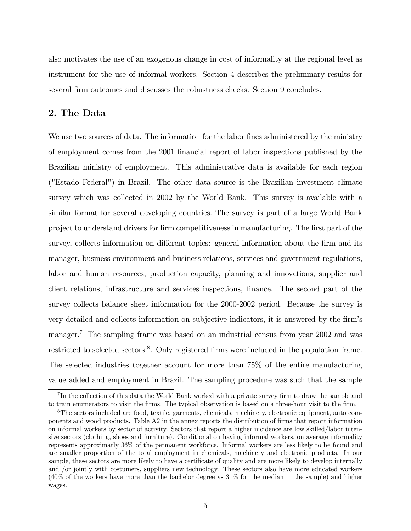also motivates the use of an exogenous change in cost of informality at the regional level as instrument for the use of informal workers. Section 4 describes the preliminary results for several firm outcomes and discusses the robustness checks. Section 9 concludes.

## 2. The Data

We use two sources of data. The information for the labor fines administered by the ministry of employment comes from the 2001 financial report of labor inspections published by the Brazilian ministry of employment. This administrative data is available for each region ("Estado Federal") in Brazil. The other data source is the Brazilian investment climate survey which was collected in 2002 by the World Bank. This survey is available with a similar format for several developing countries. The survey is part of a large World Bank project to understand drivers for firm competitiveness in manufacturing. The first part of the survey, collects information on different topics: general information about the firm and its manager, business environment and business relations, services and government regulations, labor and human resources, production capacity, planning and innovations, supplier and client relations, infrastructure and services inspections, finance. The second part of the survey collects balance sheet information for the 2000-2002 period. Because the survey is very detailed and collects information on subjective indicators, it is answered by the firm's manager.<sup>7</sup> The sampling frame was based on an industrial census from year 2002 and was restricted to selected sectors <sup>8</sup>. Only registered firms were included in the population frame. The selected industries together account for more than 75% of the entire manufacturing value added and employment in Brazil. The sampling procedure was such that the sample

<sup>7</sup> In the collection of this data the World Bank worked with a private survey firm to draw the sample and to train enumerators to visit the firms. The typical observation is based on a three-hour visit to the firm.

<sup>8</sup>The sectors included are food, textile, garments, chemicals, machinery, electronic equipment, auto components and wood products. Table A2 in the annex reports the distribution of firms that report information on informal workers by sector of activity. Sectors that report a higher incidence are low skilled/labor intensive sectors (clothing, shoes and furniture). Conditional on having informal workers, on average informality represents approximatly 36% of the permanent workforce. Informal workers are less likely to be found and are smaller proportion of the total employment in chemicals, machinery and electronic products. In our sample, these sectors are more likely to have a certificate of quality and are more likely to develop internally and /or jointly with costumers, suppliers new technology. These sectors also have more educated workers (40% of the workers have more than the bachelor degree vs 31% for the median in the sample) and higher wages.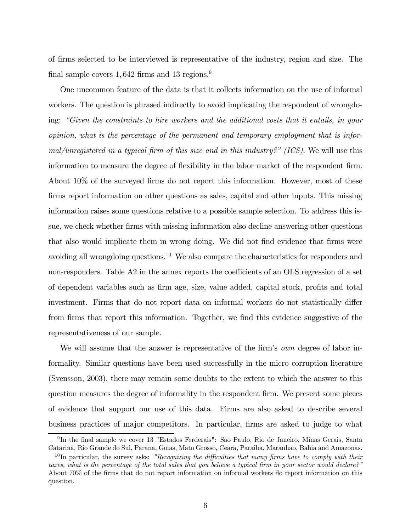of firms selected to be interviewed is representative of the industry, region and size. The final sample covers  $1,642$  firms and  $13$  regions.<sup>9</sup>

One uncommon feature of the data is that it collects information on the use of informal workers. The question is phrased indirectly to avoid implicating the respondent of wrongdoing: "Given the constraints to hire workers and the additional costs that it entails, in your opinion, what is the percentage of the permanent and temporary employment that is informal/unregistered in a typical firm of this size and in this industry?" (ICS). We will use this information to measure the degree of flexibility in the labor market of the respondent firm. About 10% of the surveyed firms do not report this information. However, most of these firms report information on other questions as sales, capital and other inputs. This missing information raises some questions relative to a possible sample selection. To address this issue, we check whether firms with missing information also decline answering other questions that also would implicate them in wrong doing. We did not find evidence that firms were avoiding all wrongdoing questions.10 We also compare the characteristics for responders and non-responders. Table A2 in the annex reports the coefficients of an OLS regression of a set of dependent variables such as firm age, size, value added, capital stock, profits and total investment. Firms that do not report data on informal workers do not statistically differ from firms that report this information. Together, we find this evidence suggestive of the representativeness of our sample.

We will assume that the answer is representative of the firm's *own* degree of labor informality. Similar questions have been used successfully in the micro corruption literature (Svensson, 2003), there may remain some doubts to the extent to which the answer to this question measures the degree of informality in the respondent firm. We present some pieces of evidence that support our use of this data. Firms are also asked to describe several business practices of major competitors. In particular, firms are asked to judge to what

<sup>9</sup> In the final sample we cover 13 "Estados Ferderais": Sao Paulo, Rio de Janeiro, Minas Gerais, Santa Catarina, Rio Grande do Sul, Parana, Goias, Mato Grosso, Ceara, Paraiba, Maranhao, Bahia and Amazonas.

<sup>&</sup>lt;sup>10</sup>In particular, the survey asks: "Recognizing the difficulties that many firms have to comply with their taxes, what is the percentage of the total sales that you believe a typical firm in your sector would declare?" About 70% of the firms that do not report information on informal workers do report information on this question.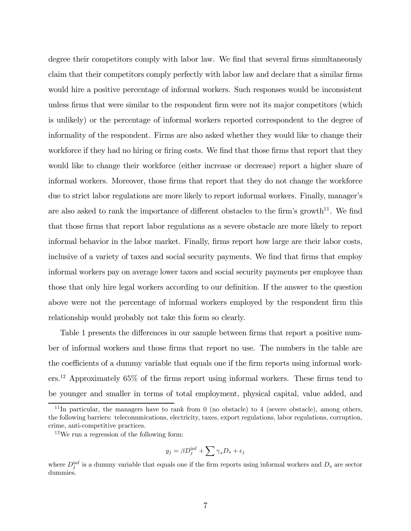degree their competitors comply with labor law. We find that several firms simultaneously claim that their competitors comply perfectly with labor law and declare that a similar firms would hire a positive percentage of informal workers. Such responses would be inconsistent unless firms that were similar to the respondent firm were not its major competitors (which is unlikely) or the percentage of informal workers reported correspondent to the degree of informality of the respondent. Firms are also asked whether they would like to change their workforce if they had no hiring or firing costs. We find that those firms that report that they would like to change their workforce (either increase or decrease) report a higher share of informal workers. Moreover, those firms that report that they do not change the workforce due to strict labor regulations are more likely to report informal workers. Finally, manager's are also asked to rank the importance of different obstacles to the firm's growth<sup>11</sup>. We find that those firms that report labor regulations as a severe obstacle are more likely to report informal behavior in the labor market. Finally, firms report how large are their labor costs, inclusive of a variety of taxes and social security payments. We find that firms that employ informal workers pay on average lower taxes and social security payments per employee than those that only hire legal workers according to our definition. If the answer to the question above were not the percentage of informal workers employed by the respondent firm this relationship would probably not take this form so clearly.

Table 1 presents the differences in our sample between firms that report a positive number of informal workers and those firms that report no use. The numbers in the table are the coefficients of a dummy variable that equals one if the firm reports using informal workers.12 Approximately 65% of the firms report using informal workers. These firms tend to be younger and smaller in terms of total employment, physical capital, value added, and

$$
y_j = \beta D_j^{\inf} + \sum \gamma_s D_s + \epsilon_j
$$

 $11$ In particular, the managers have to rank from 0 (no obstacle) to 4 (severe obstacle), among others, the following barriers: telecomunications, electricity, taxes, export regulations, labor regulations, corruption, crime, anti-competitive practices.

 $12$ We run a regression of the following form:

where  $D_j^{\text{inf}}$  is a dummy variable that equals one if the firm reports using informal workers and  $D_s$  are sector dummies.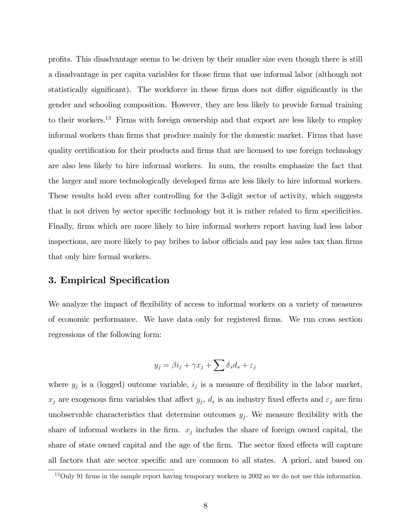profits. This disadvantage seems to be driven by their smaller size even though there is still a disadvantage in per capita variables for those firms that use informal labor (although not statistically significant). The workforce in these firms does not differ significantly in the gender and schooling composition. However, they are less likely to provide formal training to their workers.13 Firms with foreign ownership and that export are less likely to employ informal workers than firms that produce mainly for the domestic market. Firms that have quality certification for their products and firms that are licensed to use foreign technology are also less likely to hire informal workers. In sum, the results emphasize the fact that the larger and more technologically developed firms are less likely to hire informal workers. These results hold even after controlling for the 3-digit sector of activity, which suggests that is not driven by sector specific technology but it is rather related to firm specificities. Finally, firms which are more likely to hire informal workers report having had less labor inspections, are more likely to pay bribes to labor officials and pay less sales tax than firms that only hire formal workers.

## 3. Empirical Specification

We analyze the impact of flexibility of access to informal workers on a variety of measures of economic performance. We have data only for registered firms. We run cross section regressions of the following form:

$$
y_j = \beta i_j + \gamma x_j + \sum \delta_s d_s + \varepsilon_j
$$

where  $y_j$  is a (logged) outcome variable,  $i_j$  is a measure of flexibility in the labor market,  $x_j$  are exogenous firm variables that affect  $y_j$ ,  $d_s$  is an industry fixed effects and  $\varepsilon_j$  are firm unobservable characteristics that determine outcomes  $y_j$ . We measure flexibility with the share of informal workers in the firm.  $x_j$  includes the share of foreign owned capital, the share of state owned capital and the age of the firm. The sector fixed effects will capture all factors that are sector specific and are common to all states. A priori, and based on

<sup>&</sup>lt;sup>13</sup>Only 91 firms in the sample report having temporary workers in 2002 so we do not use this information.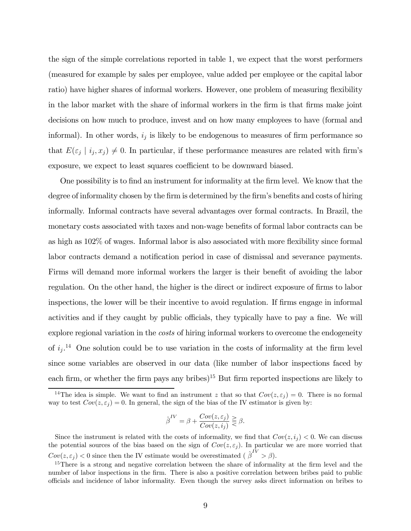the sign of the simple correlations reported in table 1, we expect that the worst performers (measured for example by sales per employee, value added per employee or the capital labor ratio) have higher shares of informal workers. However, one problem of measuring flexibility in the labor market with the share of informal workers in the firm is that firms make joint decisions on how much to produce, invest and on how many employees to have (formal and informal). In other words,  $i_j$  is likely to be endogenous to measures of firm performance so that  $E(\varepsilon_j | i_j, x_j) \neq 0$ . In particular, if these performance measures are related with firm's exposure, we expect to least squares coefficient to be downward biased.

One possibility is to find an instrument for informality at the firm level. We know that the degree of informality chosen by the firm is determined by the firm's benefits and costs of hiring informally. Informal contracts have several advantages over formal contracts. In Brazil, the monetary costs associated with taxes and non-wage benefits of formal labor contracts can be as high as 102% of wages. Informal labor is also associated with more flexibility since formal labor contracts demand a notification period in case of dismissal and severance payments. Firms will demand more informal workers the larger is their benefit of avoiding the labor regulation. On the other hand, the higher is the direct or indirect exposure of firms to labor inspections, the lower will be their incentive to avoid regulation. If firms engage in informal activities and if they caught by public officials, they typically have to pay a fine. We will explore regional variation in the *costs* of hiring informal workers to overcome the endogeneity of  $i_j$ .<sup>14</sup> One solution could be to use variation in the costs of informality at the firm level since some variables are observed in our data (like number of labor inspections faced by each firm, or whether the firm pays any bribes)<sup>15</sup> But firm reported inspections are likely to

$$
\hat{\beta}^{IV} = \beta + \frac{Cov(z, \varepsilon_j)}{Cov(z, i_j)} \geq \beta.
$$

<sup>&</sup>lt;sup>14</sup>The idea is simple. We want to find an instrument z that so that  $Cov(z, \varepsilon_i) = 0$ . There is no formal way to test  $Cov(z, \varepsilon_i)=0$ . In general, the sign of the bias of the IV estimator is given by:

Since the instrument is related with the costs of informality, we find that  $Cov(z, i_j) < 0$ . We can discuss the potential sources of the bias based on the sign of  $Cov(z, \varepsilon_j)$ . In particular we are more worried that  $Cov(z, \varepsilon_j) < 0$  since then the IV estimate would be overestimated  $(\hat{\beta}^{IV} > \beta)$ .

<sup>&</sup>lt;sup>15</sup>There is a strong and negative correlation between the share of informality at the firm level and the number of labor inspections in the firm. There is also a positive correlation between bribes paid to public officials and incidence of labor informality. Even though the survey asks direct information on bribes to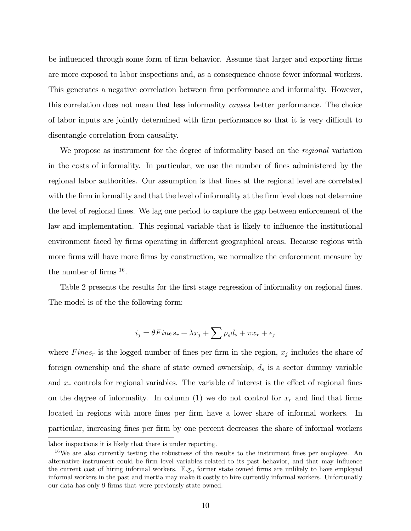be influenced through some form of firm behavior. Assume that larger and exporting firms are more exposed to labor inspections and, as a consequence choose fewer informal workers. This generates a negative correlation between firm performance and informality. However, this correlation does not mean that less informality causes better performance. The choice of labor inputs are jointly determined with firm performance so that it is very difficult to disentangle correlation from causality.

We propose as instrument for the degree of informality based on the *regional* variation in the costs of informality. In particular, we use the number of fines administered by the regional labor authorities. Our assumption is that fines at the regional level are correlated with the firm informality and that the level of informality at the firm level does not determine the level of regional fines. We lag one period to capture the gap between enforcement of the law and implementation. This regional variable that is likely to influence the institutional environment faced by firms operating in different geographical areas. Because regions with more firms will have more firms by construction, we normalize the enforcement measure by the number of firms  $16$ .

Table 2 presents the results for the first stage regression of informality on regional fines. The model is of the the following form:

$$
i_j = \theta \text{Fines}_r + \lambda x_j + \sum \rho_s d_s + \pi x_r + \epsilon_j
$$

where  $Fines<sub>r</sub>$  is the logged number of fines per firm in the region,  $x<sub>j</sub>$  includes the share of foreign ownership and the share of state owned ownership,  $d_s$  is a sector dummy variable and  $x_r$  controls for regional variables. The variable of interest is the effect of regional fines on the degree of informality. In column (1) we do not control for  $x_r$  and find that firms located in regions with more fines per firm have a lower share of informal workers. In particular, increasing fines per firm by one percent decreases the share of informal workers

labor inspections it is likely that there is under reporting.

<sup>&</sup>lt;sup>16</sup>We are also currently testing the robustness of the results to the instrument fines per employee. An alternative instrument could be firm level variables related to its past behavior, and that may influence the current cost of hiring informal workers. E.g., former state owned firms are unlikely to have employed informal workers in the past and inertia may make it costly to hire currently informal workers. Unfortunatly our data has only 9 firms that were previously state owned.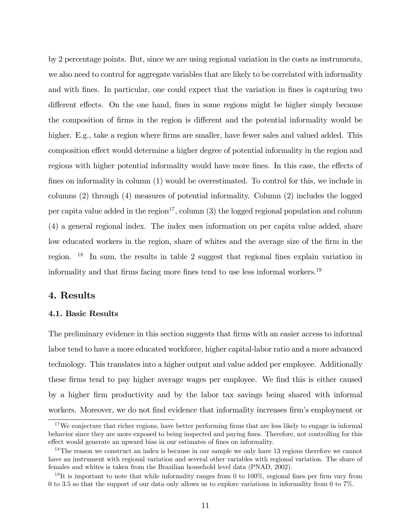by 2 percentage points. But, since we are using regional variation in the costs as instruments, we also need to control for aggregate variables that are likely to be correlated with informality and with fines. In particular, one could expect that the variation in fines is capturing two different effects. On the one hand, fines in some regions might be higher simply because the composition of firms in the region is different and the potential informality would be higher. E.g., take a region where firms are smaller, have fewer sales and valued added. This composition effect would determine a higher degree of potential informality in the region and regions with higher potential informality would have more fines. In this case, the effects of fines on informality in column (1) would be overestimated. To control for this, we include in columns (2) through (4) measures of potential informality. Column (2) includes the logged per capita value added in the region<sup>17</sup>, column  $(3)$  the logged regional population and column (4) a general regional index. The index uses information on per capita value added, share low educated workers in the region, share of whites and the average size of the firm in the region. <sup>18</sup> In sum, the results in table 2 suggest that regional fines explain variation in informality and that firms facing more fines tend to use less informal workers.<sup>19</sup>

#### 4. Results

#### 4.1. Basic Results

The preliminary evidence in this section suggests that firms with an easier access to informal labor tend to have a more educated workforce, higher capital-labor ratio and a more advanced technology. This translates into a higher output and value added per employee. Additionally these firms tend to pay higher average wages per employee. We find this is either caused by a higher firm productivity and by the labor tax savings being shared with informal workers. Moreover, we do not find evidence that informality increases firm's employment or

<sup>&</sup>lt;sup>17</sup>We conjecture that richer regions, have better performing firms that are less likely to engage in informal behavior since they are more exposed to being inspected and paying fines. Therefore, not controlling for this effect would generate an upward bias in our estimates of fines on informality.

<sup>&</sup>lt;sup>18</sup>The reason we construct an index is because in our sample we only have 13 regions therefore we cannot have an instrument with regional variation and several other variables with regional variation. The share of females and whites is taken from the Brazilian household level data (PNAD, 2002).

<sup>&</sup>lt;sup>19</sup>It is important to note that while informality ranges from 0 to 100%, regional fines per firm vary from 0 to 3.5 so that the support of our data only allows us to explore variations in informality from 0 to 7%.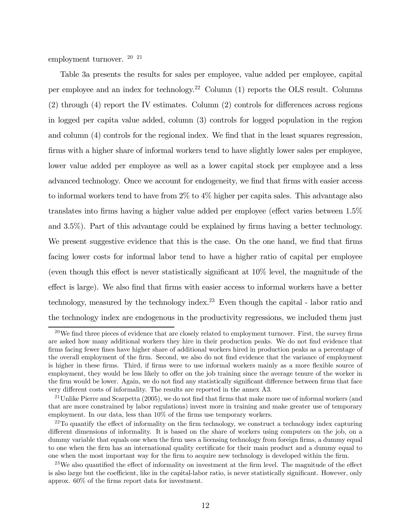employment turnover. 20 21

Table 3a presents the results for sales per employee, value added per employee, capital per employee and an index for technology.<sup>22</sup> Column  $(1)$  reports the OLS result. Columns (2) through (4) report the IV estimates. Column (2) controls for differences across regions in logged per capita value added, column (3) controls for logged population in the region and column (4) controls for the regional index. We find that in the least squares regression, firms with a higher share of informal workers tend to have slightly lower sales per employee, lower value added per employee as well as a lower capital stock per employee and a less advanced technology. Once we account for endogeneity, we find that firms with easier access to informal workers tend to have from 2% to 4% higher per capita sales. This advantage also translates into firms having a higher value added per employee (effect varies between 1.5% and 3.5%). Part of this advantage could be explained by firms having a better technology. We present suggestive evidence that this is the case. On the one hand, we find that firms facing lower costs for informal labor tend to have a higher ratio of capital per employee (even though this effect is never statistically significant at 10% level, the magnitude of the effect is large). We also find that firms with easier access to informal workers have a better technology, measured by the technology index.<sup>23</sup> Even though the capital - labor ratio and the technology index are endogenous in the productivity regressions, we included them just

 $^{20}$ We find three pieces of evidence that are closely related to employment turnover. First, the survey firms are asked how many additional workers they hire in their production peaks. We do not find evidence that firms facing fewer fines have higher share of additional workers hired in production peaks as a percentage of the overall employment of the firm. Second, we also do not find evidence that the variance of employment is higher in these firms. Third, if firms were to use informal workers mainly as a more flexible source of employment, they would be less likely to offer on the job training since the average tenure of the worker in the firm would be lower. Again, we do not find any statistically significant difference between firms that face very different costs of informality. The results are reported in the annex A3.

 $^{21}$ Unlike Pierre and Scarpetta (2005), we do not find that firms that make more use of informal workers (and that are more constrained by labor regulations) invest more in training and make greater use of temporary employment. In our data, less than 10% of the firms use temporary workers.

 $22$ To quantify the effect of informality on the firm technology, we construct a technology index capturing different dimensions of informality. It is based on the share of workers using computers on the job, on a dummy variable that equals one when the firm uses a licensing technology from foreign firms, a dummy equal to one when the firm has an international quality certificate for their main product and a dummy equal to one when the most important way for the firm to acquire new technology is developed within the firm.

 $^{23}$ We also quantified the effect of informality on investment at the firm level. The magnitude of the effect is also large but the coefficient, like in the capital-labor ratio, is never statistically significant. However, only approx. 60% of the firms report data for investment.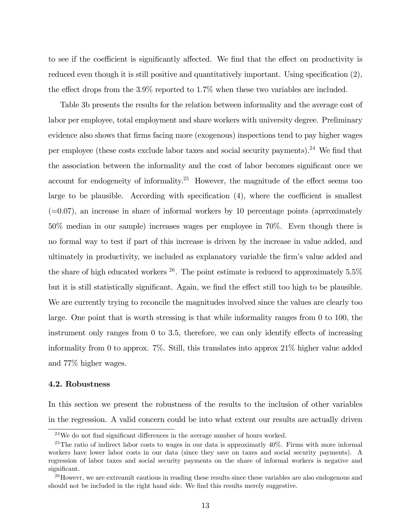to see if the coefficient is significantly affected. We find that the effect on productivity is reduced even though it is still positive and quantitatively important. Using specification  $(2)$ , the effect drops from the 3.9% reported to 1.7% when these two variables are included.

Table 3b presents the results for the relation between informality and the average cost of labor per employee, total employment and share workers with university degree. Preliminary evidence also shows that firms facing more (exogenous) inspections tend to pay higher wages per employee (these costs exclude labor taxes and social security payments).<sup>24</sup> We find that the association between the informality and the cost of labor becomes significant once we account for endogeneity of informality.25 However, the magnitude of the effect seems too large to be plausible. According with specification (4), where the coefficient is smallest  $(=0.07)$ , an increase in share of informal workers by 10 percentage points (aproximately 50% median in our sample) increases wages per employee in 70%. Even though there is no formal way to test if part of this increase is driven by the increase in value added, and ultimately in productivity, we included as explanatory variable the firm's value added and the share of high educated workers  $^{26}$ . The point estimate is reduced to approximately 5.5% but it is still statistically significant. Again, we find the effect still too high to be plausible. We are currently trying to reconcile the magnitudes involved since the values are clearly too large. One point that is worth stressing is that while informality ranges from 0 to 100, the instrument only ranges from 0 to 3.5, therefore, we can only identify effects of increasing informality from 0 to approx. 7%. Still, this translates into approx 21% higher value added and 77% higher wages.

#### 4.2. Robustness

In this section we present the robustness of the results to the inclusion of other variables in the regression. A valid concern could be into what extent our results are actually driven

<sup>24</sup>We do not find significant differences in the average number of hours worked.

<sup>&</sup>lt;sup>25</sup>The ratio of indirect labor costs to wages in our data is approximatly  $40\%$ . Firms with more informal workers have lower labor costs in our data (since they save on taxes and social security payments). A regression of labor taxes and social security payments on the share of informal workers is negative and significant.

 $^{26}$ Howevr, we are extreamlt cautious in reading these results since these variables are also endogenous and should not be included in the right hand side. We find this results merely suggestive.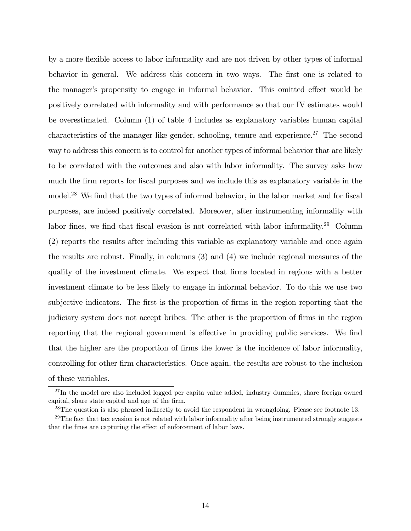by a more flexible access to labor informality and are not driven by other types of informal behavior in general. We address this concern in two ways. The first one is related to the manager's propensity to engage in informal behavior. This omitted effect would be positively correlated with informality and with performance so that our IV estimates would be overestimated. Column (1) of table 4 includes as explanatory variables human capital characteristics of the manager like gender, schooling, tenure and experience.<sup>27</sup> The second way to address this concern is to control for another types of informal behavior that are likely to be correlated with the outcomes and also with labor informality. The survey asks how much the firm reports for fiscal purposes and we include this as explanatory variable in the model.<sup>28</sup> We find that the two types of informal behavior, in the labor market and for fiscal purposes, are indeed positively correlated. Moreover, after instrumenting informality with labor fines, we find that fiscal evasion is not correlated with labor informality.<sup>29</sup> Column (2) reports the results after including this variable as explanatory variable and once again the results are robust. Finally, in columns (3) and (4) we include regional measures of the quality of the investment climate. We expect that firms located in regions with a better investment climate to be less likely to engage in informal behavior. To do this we use two subjective indicators. The first is the proportion of firms in the region reporting that the judiciary system does not accept bribes. The other is the proportion of firms in the region reporting that the regional government is effective in providing public services. We find that the higher are the proportion of firms the lower is the incidence of labor informality, controlling for other firm characteristics. Once again, the results are robust to the inclusion of these variables.

 $^{27}$ In the model are also included logged per capita value added, industry dummies, share foreign owned capital, share state capital and age of the firm.

 $^{28}$ The question is also phrased indirectly to avoid the respondent in wrongdoing. Please see footnote 13.

 $29$ The fact that tax evasion is not related with labor informality after being instrumented strongly suggests that the fines are capturing the effect of enforcement of labor laws.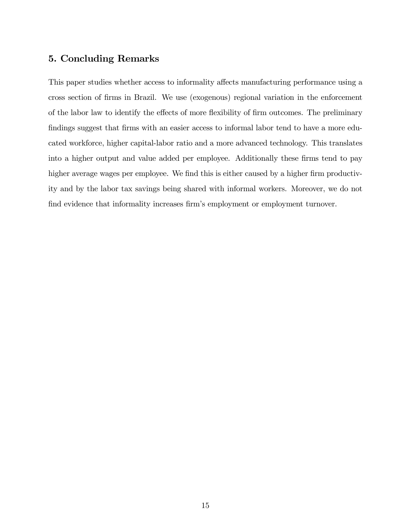## 5. Concluding Remarks

This paper studies whether access to informality affects manufacturing performance using a cross section of firms in Brazil. We use (exogenous) regional variation in the enforcement of the labor law to identify the effects of more flexibility of firm outcomes. The preliminary findings suggest that firms with an easier access to informal labor tend to have a more educated workforce, higher capital-labor ratio and a more advanced technology. This translates into a higher output and value added per employee. Additionally these firms tend to pay higher average wages per employee. We find this is either caused by a higher firm productivity and by the labor tax savings being shared with informal workers. Moreover, we do not find evidence that informality increases firm's employment or employment turnover.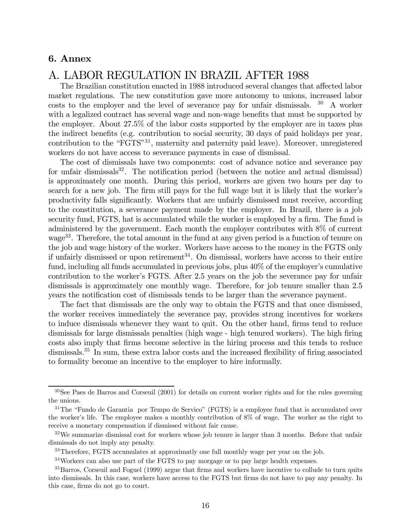## 6. Annex

# A. LABOR REGULATION IN BRAZIL AFTER 1988

The Brazilian constitution enacted in 1988 introduced several changes that affected labor market regulations. The new constitution gave more autonomy to unions, increased labor costs to the employer and the level of severance pay for unfair dismissals. <sup>30</sup> A worker with a legalized contract has several wage and non-wage benefits that must be supported by the employer. About 27.5% of the labor costs supported by the employer are in taxes plus the indirect benefits (e.g. contribution to social security, 30 days of paid holidays per year, contribution to the "FGTS"<sup>31</sup>, maternity and paternity paid leave). Moreover, unregistered workers do not have access to severance payments in case of dismissal.

The cost of dismissals have two components: cost of advance notice and severance pay for unfair dismissals $32$ . The notification period (between the notice and actual dismissal) is approximately one month. During this period, workers are given two hours per day to search for a new job. The firm still pays for the full wage but it is likely that the worker's productivity falls significantly. Workers that are unfairly dismissed must receive, according to the constitution, a severance payment made by the employer. In Brazil, there is a job security fund, FGTS, hat is accumulated while the worker is employed by a firm. The fund is administered by the government. Each month the employer contributes with 8% of current wage<sup>33</sup>. Therefore, the total amount in the fund at any given period is a function of tenure on the job and wage history of the worker. Workers have access to the money in the FGTS only if unfairly dismissed or upon retirement<sup>34</sup>. On dismissal, workers have access to their entire fund, including all funds accumulated in previous jobs, plus 40% of the employer's cumulative contribution to the worker's FGTS. After 2.5 years on the job the severance pay for unfair dismissals is approximately one monthly wage. Therefore, for job tenure smaller than 2.5 years the notification cost of dismissals tends to be larger than the severance payment.

The fact that dismissals are the only way to obtain the FGTS and that once dismissed, the worker receives immediately the severance pay, provides strong incentives for workers to induce dismissals whenever they want to quit. On the other hand, firms tend to reduce dismissals for large dismissals penalties (high wage - high tenured workers). The high firing costs also imply that firms become selective in the hiring process and this tends to reduce dismissals.<sup>35</sup> In sum, these extra labor costs and the increased flexibility of firing associated to formality become an incentive to the employer to hire informally.

<sup>30</sup>See Paes de Barros and Corseuil (2001) for details on current worker rights and for the rules governing the unions.

 $31$ The "Fundo de Garantia por Tempo de Servico" (FGTS) is a employee fund that is accumulated over the worker's life. The employee makes a monthly contribution of 8% of wage. The worker as the right to receive a monetary compensation if dismissed without fair cause.

 $32\,\text{We summarize}$  dismissal cost for workers whose job tenure is larger than 3 months. Before that unfair dismissals do not imply any penalty.

<sup>33</sup>Therefore, FGTS accumulates at approximatly one full monthly wage per year on the job.

<sup>34</sup>Workers can also use part of the FGTS to pay morgage or to pay large health expenses.

<sup>&</sup>lt;sup>35</sup>Barros, Corseuil and Foguel (1999) argue that firms and workers have incentive to collude to turn quits into dismissals. In this case, workers have access to the FGTS but firms do not have to pay any penalty. In this case, firms do not go to court.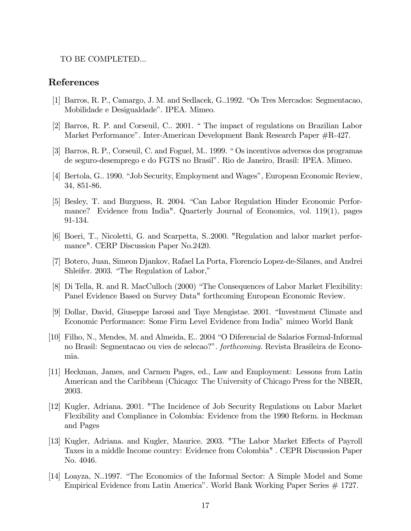#### TO BE COMPLETED...

## References

- [1] Barros, R. P., Camargo, J. M. and Sedlacek, G..1992. "Os Tres Mercados: Segmentacao, Mobilidade e Desigualdade". IPEA. Mimeo.
- [2] Barros, R. P. and Corseuil, C.. 2001. " The impact of regulations on Brazilian Labor Market Performance". Inter-American Development Bank Research Paper #R-427.
- [3] Barros, R. P., Corseuil, C. and Foguel, M.. 1999. " Os incentivos adversos dos programas de seguro-desemprego e do FGTS no Brasil". Rio de Janeiro, Brasil: IPEA. Mimeo.
- [4] Bertola, G.. 1990. "Job Security, Employment and Wages", European Economic Review, 34, 851-86.
- [5] Besley, T. and Burguess, R. 2004. "Can Labor Regulation Hinder Economic Performance? Evidence from India". Quarterly Journal of Economics, vol. 119(1), pages 91-134.
- [6] Boeri, T., Nicoletti, G. and Scarpetta, S..2000. "Regulation and labor market performance". CERP Discussion Paper No.2420.
- [7] Botero, Juan, Simeon Djankov, Rafael La Porta, Florencio Lopez-de-Silanes, and Andrei Shleifer. 2003. "The Regulation of Labor,"
- [8] Di Tella, R. and R. MacCulloch (2000) "The Consequences of Labor Market Flexibility: Panel Evidence Based on Survey Data" forthcoming European Economic Review.
- [9] Dollar, David, Giuseppe Iarossi and Taye Mengistae. 2001. "Investment Climate and Economic Performance: Some Firm Level Evidence from India" mimeo World Bank
- [10] Filho, N., Mendes, M. and Almeida, E.. 2004 "O Diferencial de Salarios Formal-Informal no Brasil: Segmentacao ou vies de selecao?". forthcoming. Revista Brasileira de Economia.
- [11] Heckman, James, and Carmen Pages, ed., Law and Employment: Lessons from Latin American and the Caribbean (Chicago: The University of Chicago Press for the NBER, 2003.
- [12] Kugler, Adriana. 2001. "The Incidence of Job Security Regulations on Labor Market Flexibility and Compliance in Colombia: Evidence from the 1990 Reform. in Heckman and Pages
- [13] Kugler, Adriana. and Kugler, Maurice. 2003. "The Labor Market Effects of Payroll Taxes in a middle Income country: Evidence from Colombia" . CEPR Discussion Paper No. 4046.
- [14] Loayza, N..1997. "The Economics of the Informal Sector: A Simple Model and Some Empirical Evidence from Latin America". World Bank Working Paper Series # 1727.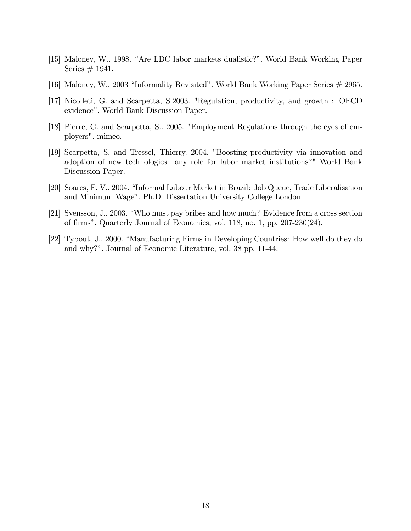- [15] Maloney, W.. 1998. "Are LDC labor markets dualistic?". World Bank Working Paper Series  $\#$  1941.
- [16] Maloney, W.. 2003 "Informality Revisited". World Bank Working Paper Series # 2965.
- [17] Nicolleti, G. and Scarpetta, S.2003. "Regulation, productivity, and growth : OECD evidence". World Bank Discussion Paper.
- [18] Pierre, G. and Scarpetta, S.. 2005. "Employment Regulations through the eyes of employers". mimeo.
- [19] Scarpetta, S. and Tressel, Thierry. 2004. "Boosting productivity via innovation and adoption of new technologies: any role for labor market institutions?" World Bank Discussion Paper.
- [20] Soares, F. V.. 2004. "Informal Labour Market in Brazil: Job Queue, Trade Liberalisation and Minimum Wage". Ph.D. Dissertation University College London.
- [21] Svensson, J.. 2003. "Who must pay bribes and how much? Evidence from a cross section of firms". Quarterly Journal of Economics, vol. 118, no. 1, pp. 207-230(24).
- [22] Tybout, J.. 2000. "Manufacturing Firms in Developing Countries: How well do they do and why?". Journal of Economic Literature, vol. 38 pp. 11-44.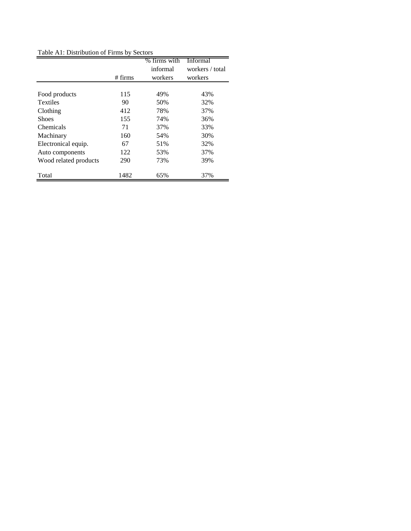Table A1: Distribution of Firms by Sectors

|                       |           | % firms with | Informal        |
|-----------------------|-----------|--------------|-----------------|
|                       |           | informal     | workers / total |
|                       | $#$ firms | workers      | workers         |
|                       |           |              |                 |
| Food products         | 115       | 49%          | 43%             |
| <b>Textiles</b>       | 90        | 50%          | 32%             |
| Clothing              | 412       | 78%          | 37%             |
| <b>Shoes</b>          | 155       | 74%          | 36%             |
| Chemicals             | 71        | 37%          | 33%             |
| Machinary             | 160       | 54%          | 30%             |
| Electronical equip.   | 67        | 51%          | 32%             |
| Auto components       | 122       | 53%          | 37%             |
| Wood related products | 290       | 73%          | 39%             |
| Total                 | 1482      | 65%          | 37%             |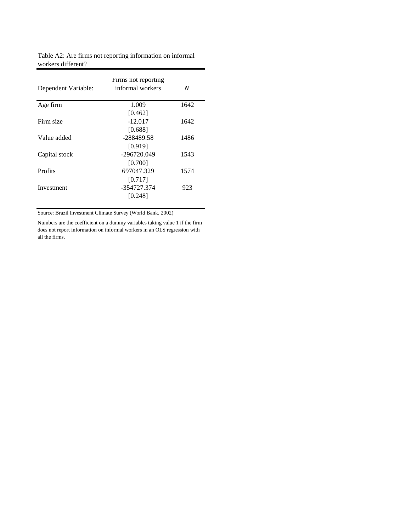|                     | Firms not reporting |      |
|---------------------|---------------------|------|
| Dependent Variable: | informal workers    | N    |
| Age firm            | 1.009               | 1642 |
|                     | [0.462]             |      |
| Firm size           | $-12.017$           | 1642 |
|                     | [0.688]             |      |
| Value added         | -288489.58          | 1486 |
|                     | [0.919]             |      |
| Capital stock       | -296720.049         | 1543 |
|                     | [0.700]             |      |
| Profits             | 697047.329          | 1574 |
|                     | [0.717]             |      |
| Investment          | -354727.374         | 923  |
|                     | [0.248]             |      |

Table A2: Are firms not reporting information on informal workers different?

Source: Brazil Investment Climate Survey (World Bank, 2002)

Numbers are the coefficient on a dummy variables taking value 1 if the firm does not report information on informal workers in an OLS regression with all the firms.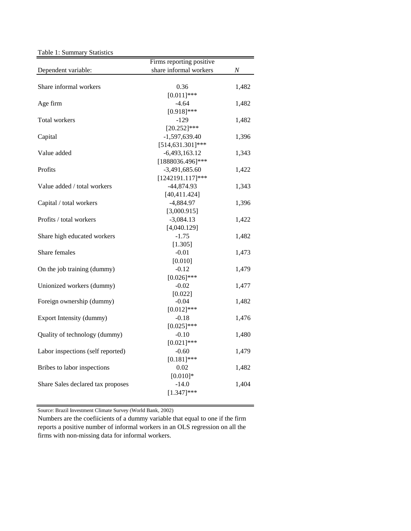Table 1: Summary Statistics

|                                   | Firms reporting positive |       |
|-----------------------------------|--------------------------|-------|
| Dependent variable:               | share informal workers   | Ν     |
|                                   |                          |       |
| Share informal workers            | 0.36                     | 1,482 |
|                                   | $[0.011]$ ***            |       |
| Age firm                          | $-4.64$                  | 1,482 |
|                                   | $[0.918]$ ***            |       |
| Total workers                     | $-129$                   | 1,482 |
|                                   | $[20.252]$ ***           |       |
| Capital                           | $-1,597,639.40$          | 1,396 |
|                                   | $[514, 631.301]$ ***     |       |
| Value added                       | $-6,493,163.12$          | 1,343 |
|                                   | [1888036.496]***         |       |
| Profits                           | $-3,491,685.60$          | 1,422 |
|                                   | $[1242191.117]***$       |       |
| Value added / total workers       | $-44,874.93$             | 1,343 |
|                                   | [40, 411.424]            |       |
| Capital / total workers           | $-4,884.97$              | 1,396 |
|                                   | [3,000.915]              |       |
| Profits / total workers           | $-3,084.13$              | 1,422 |
|                                   | [4,040.129]              |       |
| Share high educated workers       | $-1.75$                  | 1,482 |
|                                   | [1.305]                  |       |
| Share females                     | $-0.01$                  | 1,473 |
|                                   | [0.010]                  |       |
| On the job training (dummy)       | $-0.12$                  | 1,479 |
|                                   | $[0.026]$ ***            |       |
| Unionized workers (dummy)         | $-0.02$                  | 1,477 |
|                                   | [0.022]                  |       |
| Foreign ownership (dummy)         | $-0.04$                  | 1,482 |
|                                   | $[0.012]$ ***            |       |
| Export Intensity (dummy)          | $-0.18$                  | 1,476 |
|                                   | $[0.025]$ ***            |       |
| Quality of technology (dummy)     | $-0.10$                  | 1,480 |
|                                   | $[0.021]$ ***            |       |
| Labor inspections (self reported) | $-0.60$                  | 1,479 |
|                                   | $[0.181]$ ***            |       |
| Bribes to labor inspections       | 0.02                     | 1,482 |
|                                   | $[0.010]*$               |       |
| Share Sales declared tax proposes | $-14.0$                  | 1,404 |
|                                   | $[1.347]$ ***            |       |

Source: Brazil Investment Climate Survey (World Bank, 2002)

Numbers are the coefiicients of a dummy variable that equal to one if the firm reports a positive number of informal workers in an OLS regression on all the firms with non-missing data for informal workers.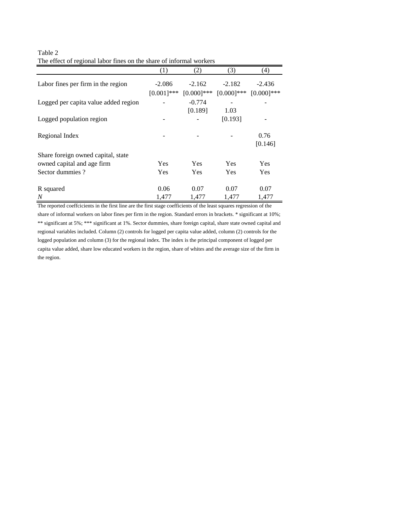| Table 2                                                             |
|---------------------------------------------------------------------|
| The effect of regional labor fines on the share of informal workers |

|                                      | (1)           | (2)           | (3)           | (4)          |
|--------------------------------------|---------------|---------------|---------------|--------------|
| Labor fines per firm in the region   | $-2.086$      | $-2.162$      | $-2.182$      | $-2.436$     |
|                                      | $[0.001]$ *** | $[0.000]$ *** | $[0.000]$ *** | $[0.000]***$ |
| Logged per capita value added region |               | $-0.774$      |               |              |
|                                      |               | [0.189]       | 1.03          |              |
| Logged population region             |               |               | [0.193]       |              |
| Regional Index                       |               |               |               | 0.76         |
|                                      |               |               |               | [0.146]      |
| Share foreign owned capital, state   |               |               |               |              |
| owned capital and age firm           | Yes           | <b>Yes</b>    | Yes           | <b>Yes</b>   |
| Sector dummies?                      | Yes           | <b>Yes</b>    | Yes           | Yes          |
| R squared                            | 0.06          | 0.07          | 0.07          | 0.07         |
| $\boldsymbol{N}$                     | 1,477         | 1,477         | 1,477         | 1,477        |

The reported coeffcicients in the first line are the first stage coefficients of the least squares regression of the share of informal workers on labor fines per firm in the region. Standard errors in brackets. \* significant at 10%; \*\* significant at 5%; \*\*\* significant at 1%. Sector dummies, share foreign capital, share state owned capital and regional variables included. Column (2) controls for logged per capita value added, column (2) controls for the logged population and column (3) for the regional index. The index is the principal component of logged per capita value added, share low educated workers in the region, share of whites and the average size of the firm in the region.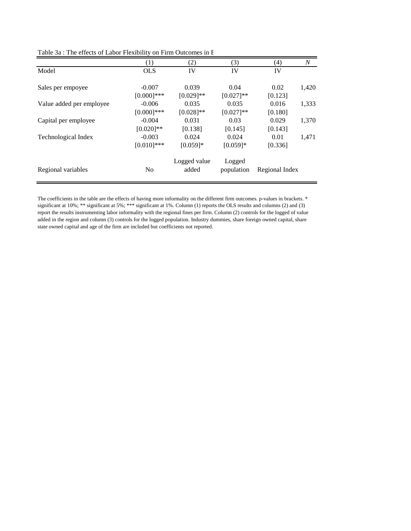| (1)            | $\left( 2\right)$ | (3)          | (4)     | $\boldsymbol{N}$ |
|----------------|-------------------|--------------|---------|------------------|
| <b>OLS</b>     | IV                | IV           | IV      |                  |
| $-0.007$       | 0.039             | 0.04         | 0.02    | 1,420            |
| $[0.000]$ ***  | $[0.029]$ **      | $[0.027]**$  | [0.123] |                  |
| $-0.006$       | 0.035             | 0.035        | 0.016   | 1,333            |
| $[0.000]$ ***  | $[0.028]$ **      | $[0.027]$ ** | [0.180] |                  |
| $-0.004$       | 0.031             | 0.03         | 0.029   | 1,370            |
| $[0.020]$ **   | [0.138]           | [0.145]      | [0.143] |                  |
| $-0.003$       | 0.024             | 0.024        | 0.01    | 1,471            |
| $[0.010]$ ***  | $[0.059]*$        | $[0.059]*$   | [0.336] |                  |
|                | Logged value      | Logged       |         |                  |
| N <sub>0</sub> | added             | population   |         |                  |
|                |                   |              |         | Regional Index   |

Table 3a : The effects of Labor Flexibility on Firm Outcomes in B

The coefficients in the table are the effects of having more informality on the different firm outcomes. p-values in brackets. \* significant at 10%; \*\* significant at 5%; \*\*\* significant at 1%. Column (1) reports the OLS results and columns (2) and (3) report the results instrumenting labor informality with the regional fines per firm. Column (2) controls for the logged of value added in the region and column (3) controls for the logged population. Industry dummies, share foreign owned capital, share state owned capital and age of the firm are included but coefficients not reported.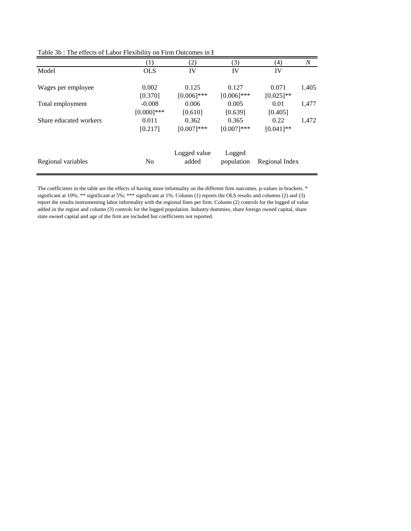|                        | (1)            | (2)           | (3)           | (4)            | N     |
|------------------------|----------------|---------------|---------------|----------------|-------|
| Model                  | <b>OLS</b>     | IV            | IV            | IV             |       |
| Wages per employee     | 0.002          | 0.125         | 0.127         | 0.071          | 1,405 |
|                        | [0.370]        | $[0.006]$ *** | $[0.006]$ *** | $[0.025]$ **   |       |
| Total employment       | $-0.008$       | 0.006         | 0.005         | 0.01           | 1,477 |
|                        | $[0.000]$ ***  | [0.610]       | [0.639]       | [0.405]        |       |
| Share educated workers | 0.011          | 0.362         | 0.365         | 0.22           | 1,472 |
|                        | [0.217]        | $[0.007]***$  | $[0.007]$ *** | $[0.041]$ **   |       |
|                        |                | Logged value  | Logged        |                |       |
| Regional variables     | N <sub>0</sub> | added         | population    | Regional Index |       |

Table 3b : The effects of Labor Flexibility on Firm Outcomes in B

The coefficients in the table are the effects of having more informality on the different firm outcomes. p-values in brackets. \* significant at 10%; \*\* significant at 5%; \*\*\* significant at 1%. Column (1) reports the OLS results and columns (2) and (3) report the results instrumenting labor informality with the regional fines per firm. Column (2) controls for the logged of value added in the region and column (3) controls for the logged population. Industry dummies, share foreign owned capital, share state owned capital and age of the firm are included but coefficients not reported.